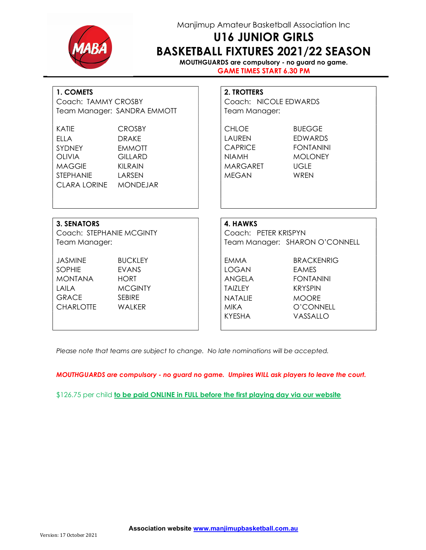

## Manjimup Amateur Basketball Association Inc

# U16 JUNIOR GIRLS BASKETBALL FIXTURES 2021/22 SEASON

MOUTHGUARDS are compulsory - no guard no game. GAME TIMES START 6.30 PM

| 1. COMETS<br>Coach: TAMMY CROSBY<br>Team Manager: SANDRA EMMOTT                                               |                                                                             | <b>2. TROTTERS</b><br>Coach: NICOLE EDWARDS<br>Team Manager:                         |                                                                                                                  |  |  |
|---------------------------------------------------------------------------------------------------------------|-----------------------------------------------------------------------------|--------------------------------------------------------------------------------------|------------------------------------------------------------------------------------------------------------------|--|--|
| <b>KATIE</b><br><b>ELLA</b><br>SYDNEY<br><b>OLIVIA</b><br>MAGGIE<br>STEPHANIE LARSEN<br>CLARA LORINE MONDEJAR | <b>CROSBY</b><br><b>DRAKE</b><br><b>EMMOTT</b><br><b>GILLARD</b><br>KILRAIN | <b>CHLOE</b><br><b>LAUREN</b><br>CAPRICE<br><b>NIAMH</b><br>MARGARET<br><b>MEGAN</b> | <b>BUEGGE</b><br><b>FDWARDS</b><br><b>FONTANINI</b><br><b>MOLONEY</b><br><b>UGLE</b><br>WRFN                     |  |  |
| <b>3. SENATORS</b>                                                                                            |                                                                             | 4. HAWKS                                                                             |                                                                                                                  |  |  |
| Coach: STEPHANIE MCGINTY                                                                                      |                                                                             | Coach: PETER KRISPYN                                                                 |                                                                                                                  |  |  |
| Team Manager:                                                                                                 |                                                                             | Team Manager: SHARON O'CONNELL                                                       |                                                                                                                  |  |  |
| <b>JASMINE</b><br><b>SOPHIE</b><br><b>MONTANA</b><br>LAILA<br><b>GRACE</b><br>CHARLOTTE WALKER                | <b>BUCKLEY</b><br>EVANS<br><b>HORT</b><br><b>MCGINTY</b><br><b>SEBIRE</b>   | EMMA<br>LOGAN<br>ANGELA<br>TAIZLEY<br><b>NATALIF</b><br><b>MIKA</b><br><b>KYESHA</b> | <b>BRACKENRIG</b><br><b>EAMES</b><br><b>FONTANINI</b><br><b>KRYSPIN</b><br><b>MOORE</b><br>O'CONNELL<br>VASSALLO |  |  |

Please note that teams are subject to change. No late nominations will be accepted.

MOUTHGUARDS are compulsory - no guard no game. Umpires WILL ask players to leave the court.

\$126.75 per child to be paid ONLINE in FULL before the first playing day via our website